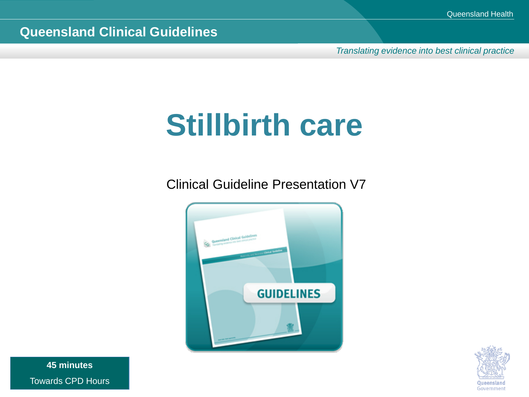*Translating evidence into best clinical practice*

### **Stillbirth care**

Clinical Guideline Presentation V7





**45 minutes** Towards CPD Hours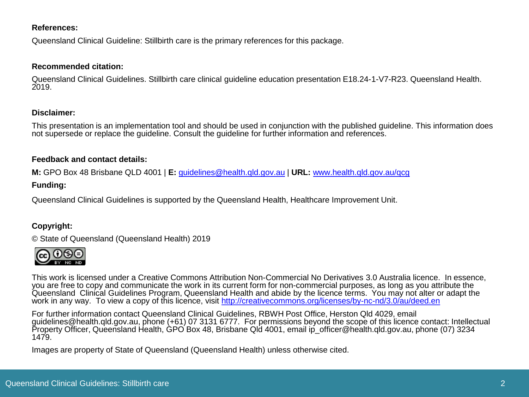#### **References:**

Queensland Clinical Guideline: Stillbirth care is the primary references for this package.

#### **Recommended citation:**

Queensland Clinical Guidelines. Stillbirth care clinical guideline education presentation E18.24-1-V7-R23. Queensland Health. 2019.

#### **Disclaimer:**

This presentation is an implementation tool and should be used in conjunction with the published guideline. This information does not supersede or replace the guideline. Consult the guideline for further information and references.

#### **Feedback and contact details:**

**M:** GPO Box 48 Brisbane QLD 4001 | **E:** [guidelines@health.qld.gov.au](mailto:guidelines@health.qld.gov.au) | **URL:** [www.health.qld.gov.au/qcg](http://www.health.qld.gov.au/qcg)

#### **Funding:**

Queensland Clinical Guidelines is supported by the Queensland Health, Healthcare Improvement Unit.

#### **Copyright:**

© State of Queensland (Queensland Health) 2019



This work is licensed under a Creative Commons Attribution Non-Commercial No Derivatives 3.0 Australia licence. In essence, you are free to copy and communicate the work in its current form for non-commercial purposes, as long as you attribute the Queensland Clinical Guidelines Program, Queensland Health and abide by the licence terms. You may not alter or adapt the work in any way. To view a copy of this licence, visit<http://creativecommons.org/licenses/by-nc-nd/3.0/au/deed.en>

For further information contact Queensland Clinical Guidelines, RBWH Post Office, Herston Qld 4029, email guidelines@health.qld.gov.au, phone (+61) 07 3131 6777. For permissions beyond the scope of this licence contact: Intellectual Property Officer, Queensland Health, GPO Box 48, Brisbane Qld 4001, email ip\_officer@health.qld.gov.au, phone (07) 3234 1479.

Images are property of State of Queensland (Queensland Health) unless otherwise cited.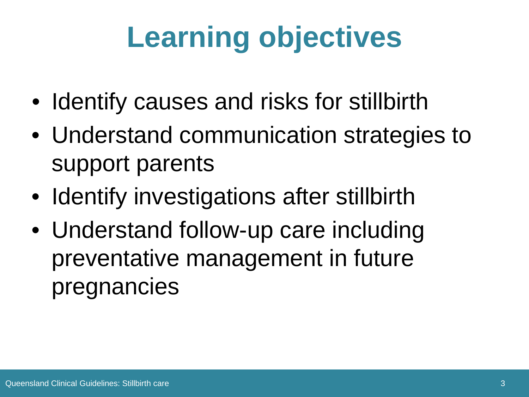# **Learning objectives**

- Identify causes and risks for stillbirth
- Understand communication strategies to support parents
- Identify investigations after stillbirth
- Understand follow-up care including preventative management in future pregnancies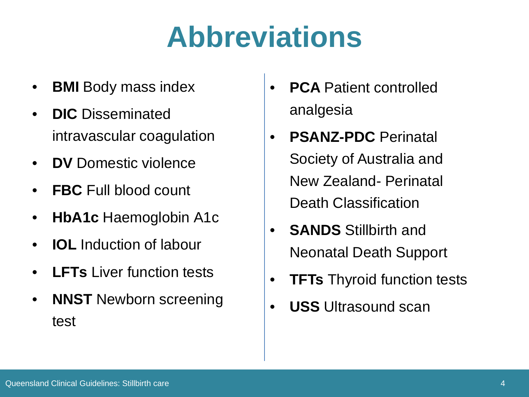### **Abbreviations**

- **BMI** Body mass index
- **DIC** Disseminated intravascular coagulation
- **DV** Domestic violence
- **FBC** Full blood count
- **HbA1c** Haemoglobin A1c
- **IOL** Induction of labour
- **LFTs** Liver function tests
- **NNST** Newborn screening test
- **PCA Patient controlled** analgesia
- **PSANZ-PDC** Perinatal Society of Australia and New Zealand- Perinatal Death Classification
- **SANDS** Stillbirth and Neonatal Death Support
- **TFTs** Thyroid function tests
- **USS** Ultrasound scan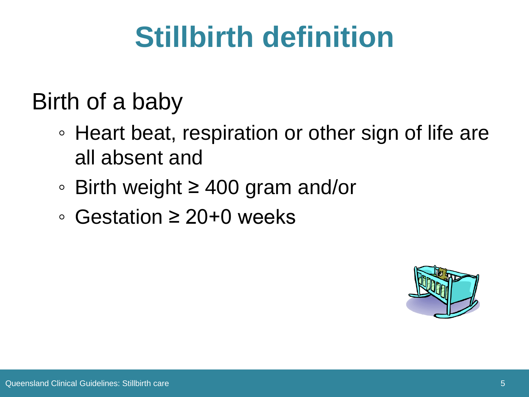## **Stillbirth definition**

#### Birth of a baby

- Heart beat, respiration or other sign of life are all absent and
- Birth weight ≥ 400 gram and/or
- Gestation ≥ 20+0 weeks

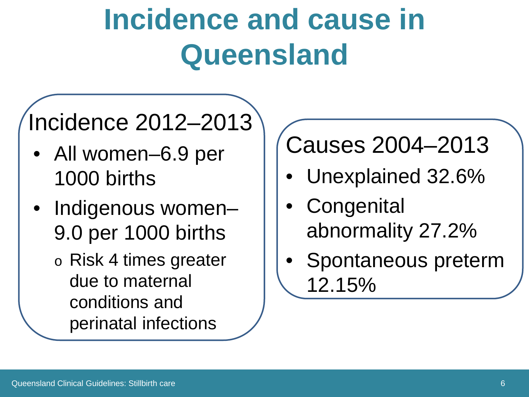### **Incidence and cause in Queensland**

#### Incidence 2012–2013

- All women–6.9 per 1000 births
- Indigenous women-9.0 per 1000 births
	- o Risk 4 times greater due to maternal conditions and perinatal infections

#### Causes 2004–2013

- Unexplained 32.6%
- **Congenital** abnormality 27.2%
- Spontaneous preterm 12.15%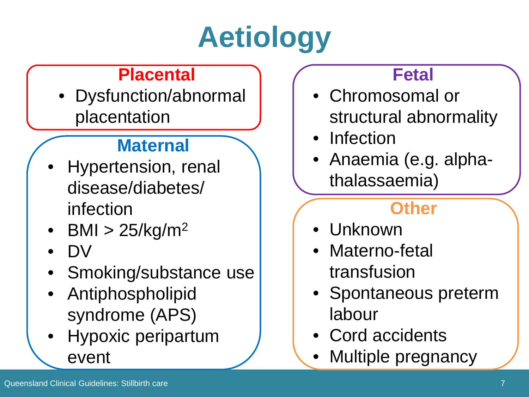# **Aetiology**

#### **Placental**

• Dysfunction/abnormal placentation

#### **Maternal**

- Hypertension, renal disease/diabetes/ infection
- BMI  $> 25/kg/m<sup>2</sup>$
- DV
- Smoking/substance use
- Antiphospholipid syndrome (APS)
- Hypoxic peripartum event

#### **Fetal**

- Chromosomal or structural abnormality
- Infection
- Anaemia (e.g. alphathalassaemia)

#### **Other**

- Unknown
- Materno-fetal transfusion
- Spontaneous preterm labour
- Cord accidents
- Multiple pregnancy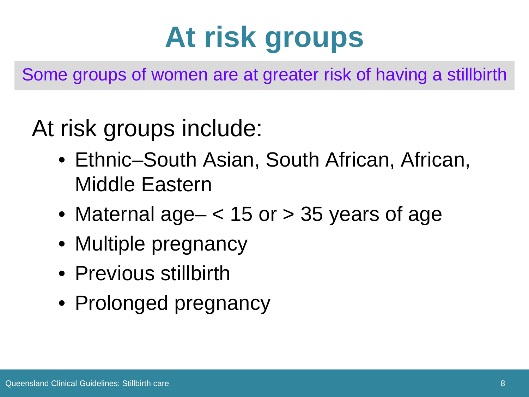# **At risk groups**

Some groups of women are at greater risk of having a stillbirth

At risk groups include:

- Ethnic–South Asian, South African, African, Middle Eastern
- Maternal age  $-$  < 15 or  $>$  35 years of age
- Multiple pregnancy
- Previous stillbirth
- Prolonged pregnancy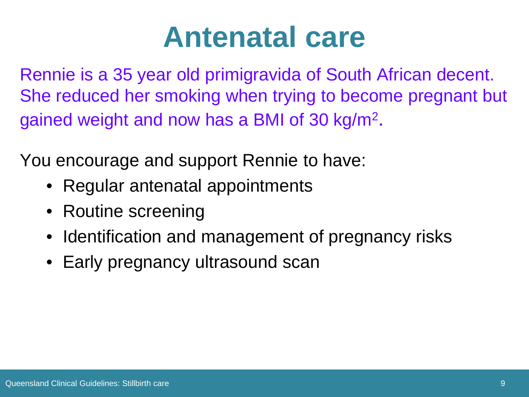#### **Antenatal care**

Rennie is a 35 year old primigravida of South African decent. She reduced her smoking when trying to become pregnant but gained weight and now has a BMI of 30 kg/m2.

You encourage and support Rennie to have:

- Regular antenatal appointments
- Routine screening
- Identification and management of pregnancy risks
- Early pregnancy ultrasound scan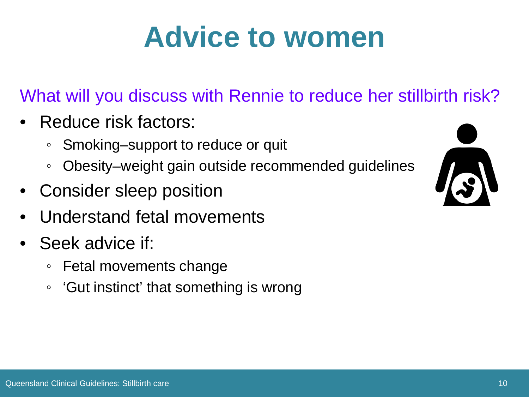#### **Advice to women**

What will you discuss with Rennie to reduce her stillbirth risk?

- Reduce risk factors:
	- Smoking–support to reduce or quit
	- Obesity–weight gain outside recommended guidelines
- Consider sleep position
- Understand fetal movements
- Seek advice if:
	- Fetal movements change
	- 'Gut instinct' that something is wrong

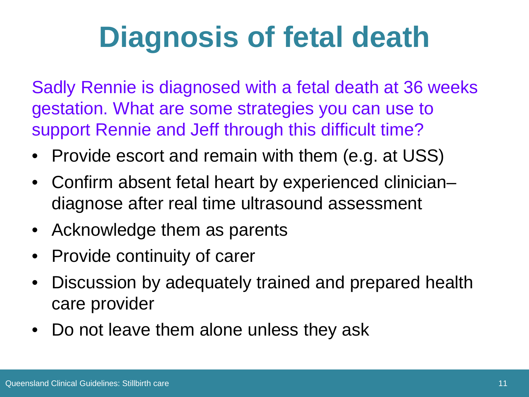### **Diagnosis of fetal death**

Sadly Rennie is diagnosed with a fetal death at 36 weeks gestation. What are some strategies you can use to support Rennie and Jeff through this difficult time?

- Provide escort and remain with them (e.g. at USS)
- Confirm absent fetal heart by experienced clinician– diagnose after real time ultrasound assessment
- Acknowledge them as parents
- Provide continuity of carer
- Discussion by adequately trained and prepared health care provider
- Do not leave them alone unless they ask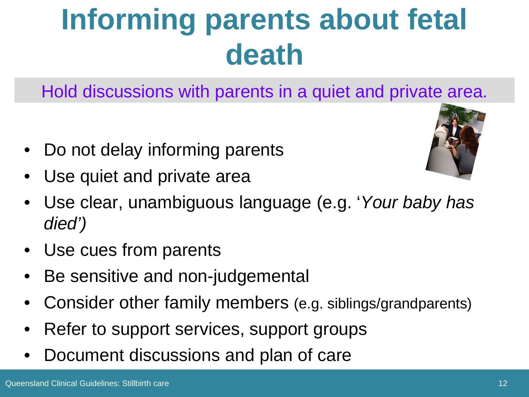## **Informing parents about fetal death**

Hold discussions with parents in a quiet and private area.

- Do not delay informing parents
- Use quiet and private area



- Use clear, unambiguous language (e.g. '*Your baby has died')*
- Use cues from parents
- Be sensitive and non-judgemental
- Consider other family members (e.g. siblings/grandparents)
- Refer to support services, support groups
- Document discussions and plan of care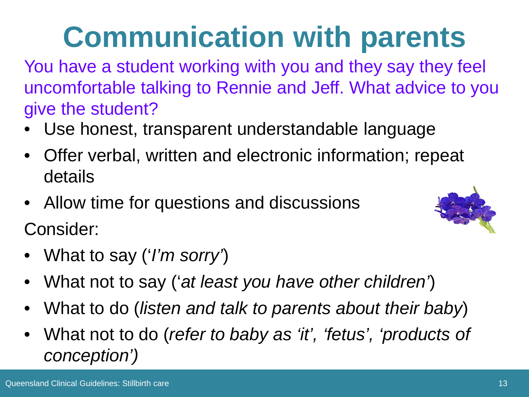## **Communication with parents**

You have a student working with you and they say they feel uncomfortable talking to Rennie and Jeff. What advice to you give the student?

- Use honest, transparent understandable language
- Offer verbal, written and electronic information; repeat details
- Allow time for questions and discussions Consider:



- What to say ('*I'm sorry'*)
- What not to say ('*at least you have other children'*)
- What to do (*listen and talk to parents about their baby*)
- What not to do (*refer to baby as 'it', 'fetus', 'products of conception')*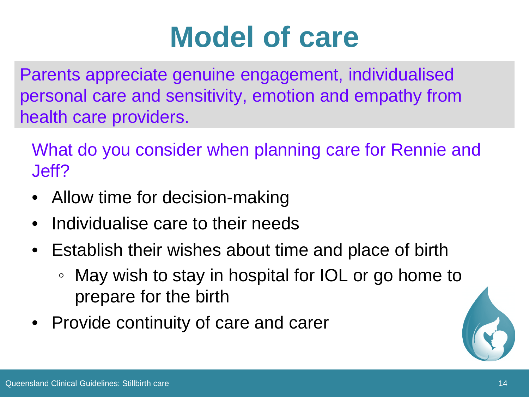#### **Model of care**

Parents appreciate genuine engagement, individualised personal care and sensitivity, emotion and empathy from health care providers.

What do you consider when planning care for Rennie and Jeff?

- Allow time for decision-making
- Individualise care to their needs
- Establish their wishes about time and place of birth
	- May wish to stay in hospital for IOL or go home to prepare for the birth
- Provide continuity of care and carer

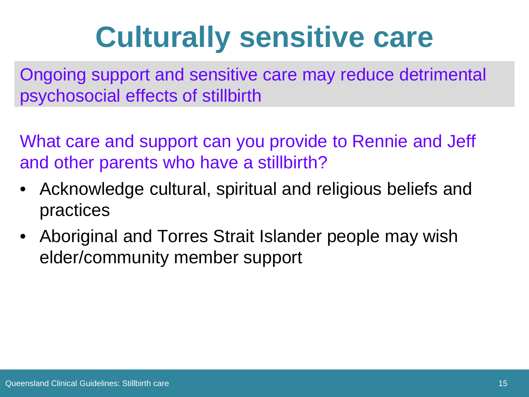### **Culturally sensitive care**

Ongoing support and sensitive care may reduce detrimental psychosocial effects of stillbirth

What care and support can you provide to Rennie and Jeff and other parents who have a stillbirth?

- Acknowledge cultural, spiritual and religious beliefs and practices
- Aboriginal and Torres Strait Islander people may wish elder/community member support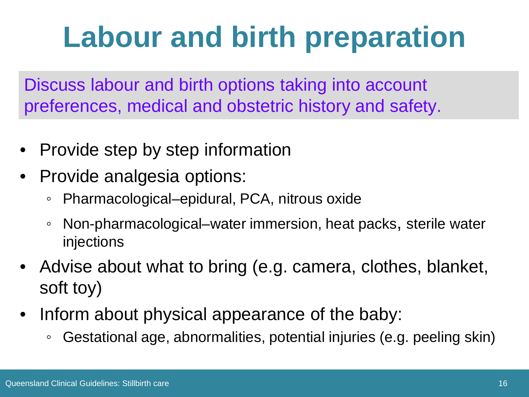# **Labour and birth preparation**

Discuss labour and birth options taking into account preferences, medical and obstetric history and safety.

- Provide step by step information
- Provide analgesia options:
	- Pharmacological–epidural, PCA, nitrous oxide
	- Non-pharmacological–water immersion, heat packs, sterile water injections
- Advise about what to bring (e.g. camera, clothes, blanket, soft toy)
- Inform about physical appearance of the baby:
	- Gestational age, abnormalities, potential injuries (e.g. peeling skin)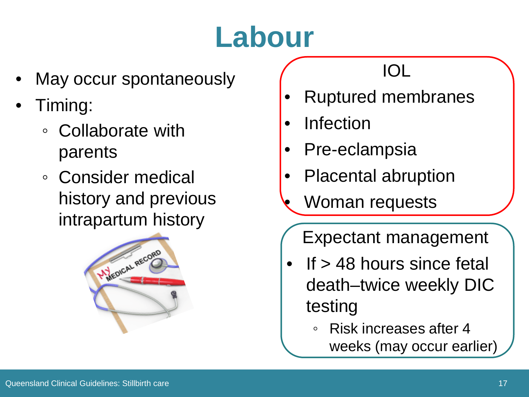# **Labour**

- May occur spontaneously
- Timing:
	- Collaborate with parents
	- Consider medical history and previous intrapartum history



#### IOL

- Ruptured membranes
- **Infection**
- Pre-eclampsia
- Placental abruption
- Woman requests
	- Expectant management
- If  $>$  48 hours since fetal death–twice weekly DIC testing
	- Risk increases after 4 weeks (may occur earlier)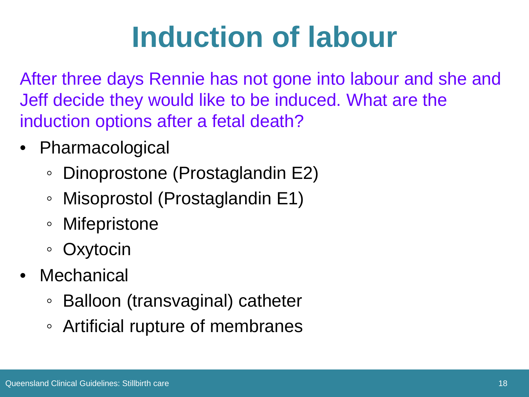### **Induction of labour**

After three days Rennie has not gone into labour and she and Jeff decide they would like to be induced. What are the induction options after a fetal death?

- Pharmacological
	- Dinoprostone (Prostaglandin E2)
	- Misoprostol (Prostaglandin E1)
	- Mifepristone
	- Oxytocin
- Mechanical
	- Balloon (transvaginal) catheter
	- Artificial rupture of membranes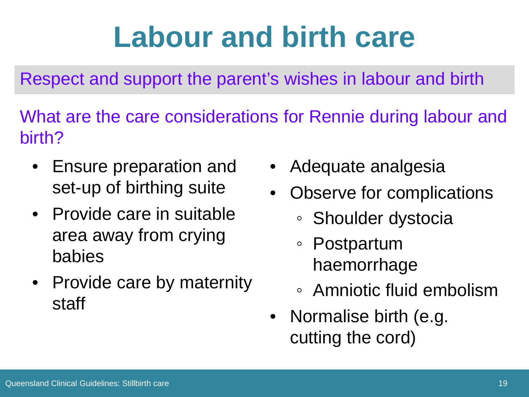### **Labour and birth care**

Respect and support the parent's wishes in labour and birth

What are the care considerations for Rennie during labour and birth?

- Ensure preparation and set-up of birthing suite
- Provide care in suitable area away from crying babies
- Provide care by maternity staff
- Adequate analgesia
- Observe for complications
	- Shoulder dystocia
	- Postpartum haemorrhage
	- Amniotic fluid embolism
- Normalise birth (e.g. cutting the cord)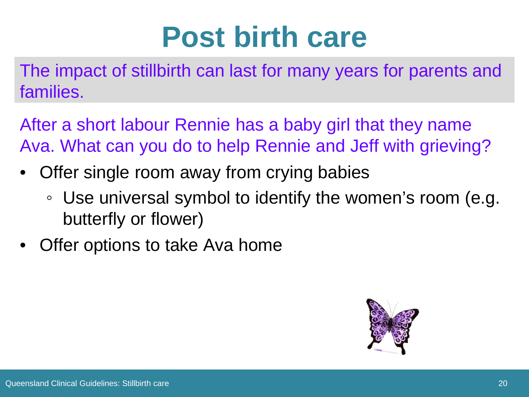#### **Post birth care**

The impact of stillbirth can last for many years for parents and families.

After a short labour Rennie has a baby girl that they name Ava. What can you do to help Rennie and Jeff with grieving?

- Offer single room away from crying babies
	- Use universal symbol to identify the women's room (e.g. butterfly or flower)
- Offer options to take Ava home

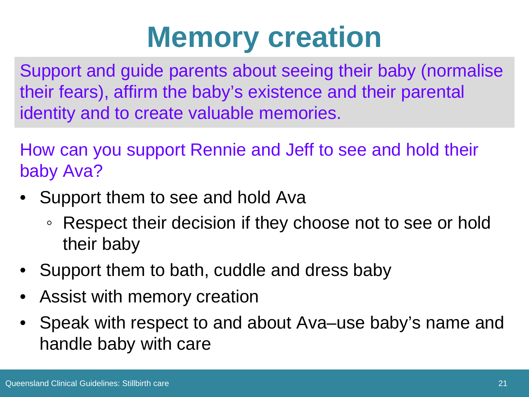### **Memory creation**

Support and guide parents about seeing their baby (normalise their fears), affirm the baby's existence and their parental identity and to create valuable memories.

How can you support Rennie and Jeff to see and hold their baby Ava?

- Support them to see and hold Ava
	- Respect their decision if they choose not to see or hold their baby
- Support them to bath, cuddle and dress baby
- Assist with memory creation
- Speak with respect to and about Ava–use baby's name and handle baby with care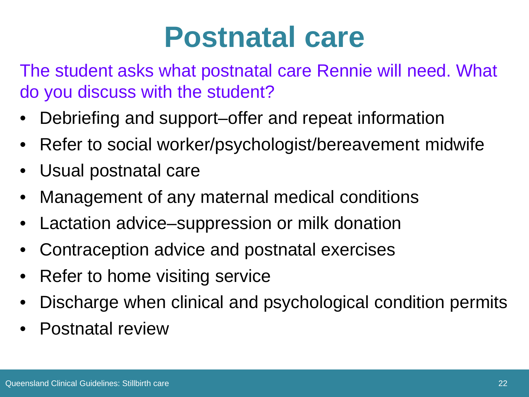#### **Postnatal care**

The student asks what postnatal care Rennie will need. What do you discuss with the student?

- Debriefing and support–offer and repeat information
- Refer to social worker/psychologist/bereavement midwife
- Usual postnatal care
- Management of any maternal medical conditions
- Lactation advice–suppression or milk donation
- Contraception advice and postnatal exercises
- Refer to home visiting service
- Discharge when clinical and psychological condition permits
- Postnatal review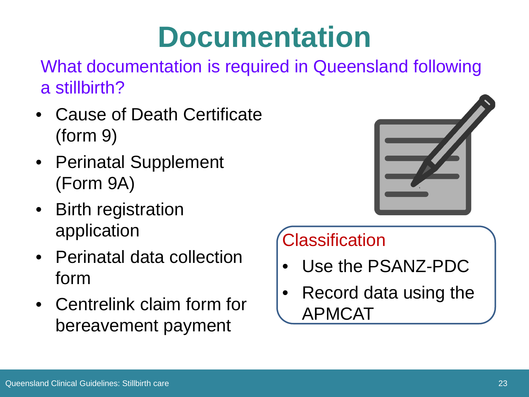#### **Documentation**

What documentation is required in Queensland following a stillbirth?

- Cause of Death Certificate (form 9)
- Perinatal Supplement (Form 9A)
- Birth registration application
- Perinatal data collection form
- Centrelink claim form for bereavement payment



#### **Classification**

- Use the PSANZ-PDC
- Record data using the APMCAT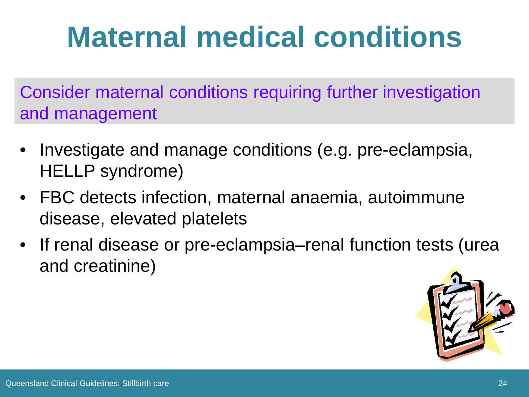## **Maternal medical conditions**

Consider maternal conditions requiring further investigation and management

- Investigate and manage conditions (e.g. pre-eclampsia, HELLP syndrome)
- FBC detects infection, maternal anaemia, autoimmune disease, elevated platelets
- If renal disease or pre-eclampsia–renal function tests (urea and creatinine)

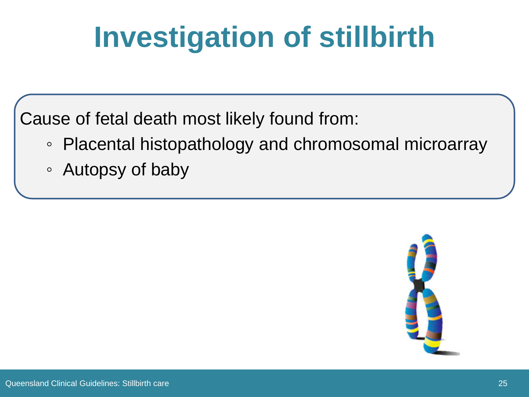## **Investigation of stillbirth**

Cause of fetal death most likely found from:

- Placental histopathology and chromosomal microarray
- Autopsy of baby

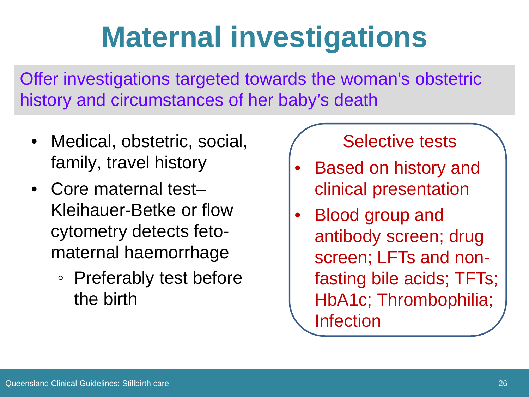### **Maternal investigations**

Offer investigations targeted towards the woman's obstetric history and circumstances of her baby's death

- Medical, obstetric, social, family, travel history
- Core maternal test-Kleihauer-Betke or flow cytometry detects fetomaternal haemorrhage
	- Preferably test before the birth

#### Selective tests

- Based on history and clinical presentation
- Blood group and antibody screen; drug screen; LFTs and nonfasting bile acids; TFTs; HbA1c; Thrombophilia; Infection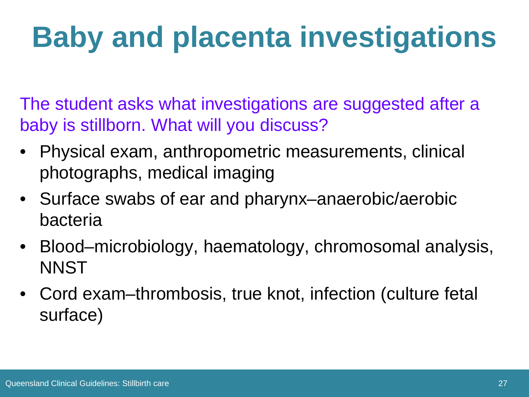# **Baby and placenta investigations**

The student asks what investigations are suggested after a baby is stillborn. What will you discuss?

- Physical exam, anthropometric measurements, clinical photographs, medical imaging
- Surface swabs of ear and pharynx–anaerobic/aerobic bacteria
- Blood–microbiology, haematology, chromosomal analysis, NNST
- Cord exam–thrombosis, true knot, infection (culture fetal surface)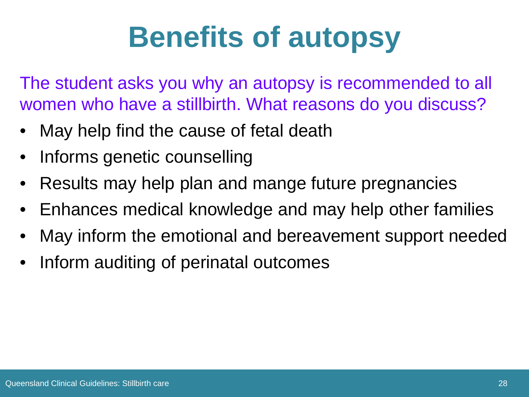## **Benefits of autopsy**

The student asks you why an autopsy is recommended to all women who have a stillbirth. What reasons do you discuss?

- May help find the cause of fetal death
- Informs genetic counselling
- Results may help plan and mange future pregnancies
- Enhances medical knowledge and may help other families
- May inform the emotional and bereavement support needed
- Inform auditing of perinatal outcomes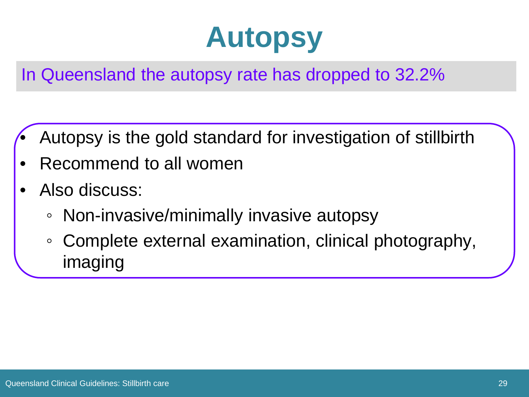#### **Autopsy**

In Queensland the autopsy rate has dropped to 32.2%

- Autopsy is the gold standard for investigation of stillbirth
- Recommend to all women
- Also discuss:
	- Non-invasive/minimally invasive autopsy
	- Complete external examination, clinical photography, imaging